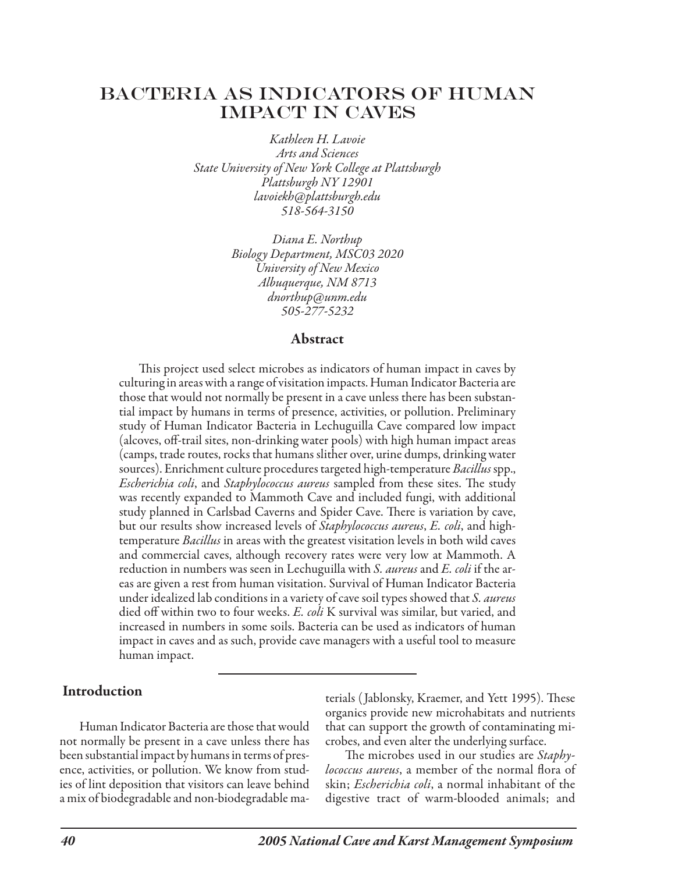# BACTERIA AS INDICATORS OF HUMAN IMPACT IN CAVES

*Kathleen H. Lavoie Arts and Sciences State University of New York College at Plattsburgh Plattsburgh NY 12901 lavoiekh@plattsburgh.edu 518-564-3150*

> *Diana E. Northup Biology Department, MSC03 2020 University of New Mexico Albuquerque, NM 8713 dnorthup@unm.edu 505-277-5232*

#### Abstract

This project used select microbes as indicators of human impact in caves by culturing in areas with a range of visitation impacts. Human Indicator Bacteria are those that would not normally be present in a cave unless there has been substantial impact by humans in terms of presence, activities, or pollution. Preliminary study of Human Indicator Bacteria in Lechuguilla Cave compared low impact (alcoves, off-trail sites, non-drinking water pools) with high human impact areas (camps, trade routes, rocks that humans slither over, urine dumps, drinking water sources). Enrichment culture procedures targeted high-temperature *Bacillus* spp., *Escherichia coli*, and *Staphylococcus aureus* sampled from these sites. The study was recently expanded to Mammoth Cave and included fungi, with additional study planned in Carlsbad Caverns and Spider Cave. There is variation by cave, but our results show increased levels of *Staphylococcus aureus*, *E. coli*, and hightemperature *Bacillus* in areas with the greatest visitation levels in both wild caves and commercial caves, although recovery rates were very low at Mammoth. A reduction in numbers was seen in Lechuguilla with *S. aureus* and *E. coli* if the areas are given a rest from human visitation. Survival of Human Indicator Bacteria under idealized lab conditions in a variety of cave soil types showed that *S. aureus* died off within two to four weeks. *E. coli* K survival was similar, but varied, and increased in numbers in some soils. Bacteria can be used as indicators of human impact in caves and as such, provide cave managers with a useful tool to measure human impact.

#### Introduction

Human Indicator Bacteria are those that would not normally be present in a cave unless there has been substantial impact by humans in terms of presence, activities, or pollution. We know from studies of lint deposition that visitors can leave behind a mix of biodegradable and non-biodegradable materials ( Jablonsky, Kraemer, and Yett 1995). These organics provide new microhabitats and nutrients that can support the growth of contaminating microbes, and even alter the underlying surface.

The microbes used in our studies are *Staphylococcus aureus*, a member of the normal flora of skin; *Escherichia coli*, a normal inhabitant of the digestive tract of warm-blooded animals; and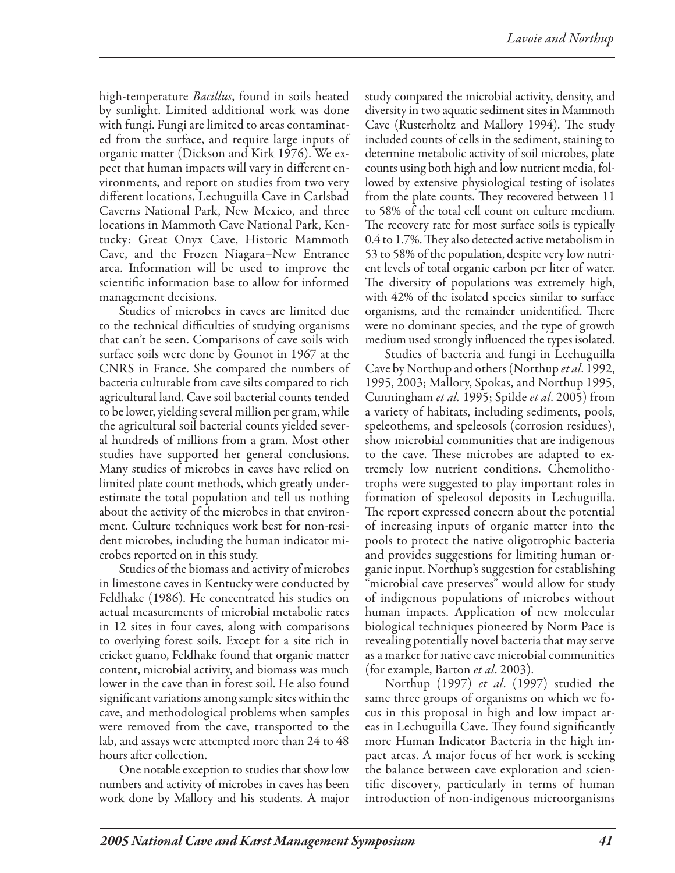high-temperature *Bacillus*, found in soils heated by sunlight. Limited additional work was done with fungi. Fungi are limited to areas contaminated from the surface, and require large inputs of organic matter (Dickson and Kirk 1976). We expect that human impacts will vary in different environments, and report on studies from two very different locations, Lechuguilla Cave in Carlsbad Caverns National Park, New Mexico, and three locations in Mammoth Cave National Park, Kentucky: Great Onyx Cave, Historic Mammoth Cave, and the Frozen Niagara–New Entrance area. Information will be used to improve the scientific information base to allow for informed management decisions.

Studies of microbes in caves are limited due to the technical difficulties of studying organisms that can't be seen. Comparisons of cave soils with surface soils were done by Gounot in 1967 at the CNRS in France. She compared the numbers of bacteria culturable from cave silts compared to rich agricultural land. Cave soil bacterial counts tended to be lower, yielding several million per gram, while the agricultural soil bacterial counts yielded several hundreds of millions from a gram. Most other studies have supported her general conclusions. Many studies of microbes in caves have relied on limited plate count methods, which greatly underestimate the total population and tell us nothing about the activity of the microbes in that environment. Culture techniques work best for non-resident microbes, including the human indicator microbes reported on in this study.

Studies of the biomass and activity of microbes in limestone caves in Kentucky were conducted by Feldhake (1986). He concentrated his studies on actual measurements of microbial metabolic rates in 12 sites in four caves, along with comparisons to overlying forest soils. Except for a site rich in cricket guano, Feldhake found that organic matter content, microbial activity, and biomass was much lower in the cave than in forest soil. He also found significant variations among sample sites within the cave, and methodological problems when samples were removed from the cave, transported to the lab, and assays were attempted more than 24 to 48 hours after collection.

One notable exception to studies that show low numbers and activity of microbes in caves has been work done by Mallory and his students. A major study compared the microbial activity, density, and diversity in two aquatic sediment sites in Mammoth Cave (Rusterholtz and Mallory 1994). The study included counts of cells in the sediment, staining to determine metabolic activity of soil microbes, plate counts using both high and low nutrient media, followed by extensive physiological testing of isolates from the plate counts. They recovered between 11 to 58% of the total cell count on culture medium. The recovery rate for most surface soils is typically 0.4 to 1.7%. They also detected active metabolism in 53 to 58% of the population, despite very low nutrient levels of total organic carbon per liter of water. The diversity of populations was extremely high, with 42% of the isolated species similar to surface organisms, and the remainder unidentified. There were no dominant species, and the type of growth medium used strongly influenced the types isolated.

Studies of bacteria and fungi in Lechuguilla Cave by Northup and others (Northup *et al*. 1992, 1995, 2003; Mallory, Spokas, and Northup 1995, Cunningham *et al.* 1995; Spilde *et al*. 2005) from a variety of habitats, including sediments, pools, speleothems, and speleosols (corrosion residues), show microbial communities that are indigenous to the cave. These microbes are adapted to extremely low nutrient conditions. Chemolithotrophs were suggested to play important roles in formation of speleosol deposits in Lechuguilla. The report expressed concern about the potential of increasing inputs of organic matter into the pools to protect the native oligotrophic bacteria and provides suggestions for limiting human organic input. Northup's suggestion for establishing "microbial cave preserves" would allow for study of indigenous populations of microbes without human impacts. Application of new molecular biological techniques pioneered by Norm Pace is revealing potentially novel bacteria that may serve as a marker for native cave microbial communities (for example, Barton *et al*. 2003).

Northup (1997) *et al*. (1997) studied the same three groups of organisms on which we focus in this proposal in high and low impact areas in Lechuguilla Cave. They found significantly more Human Indicator Bacteria in the high impact areas. A major focus of her work is seeking the balance between cave exploration and scientific discovery, particularly in terms of human introduction of non-indigenous microorganisms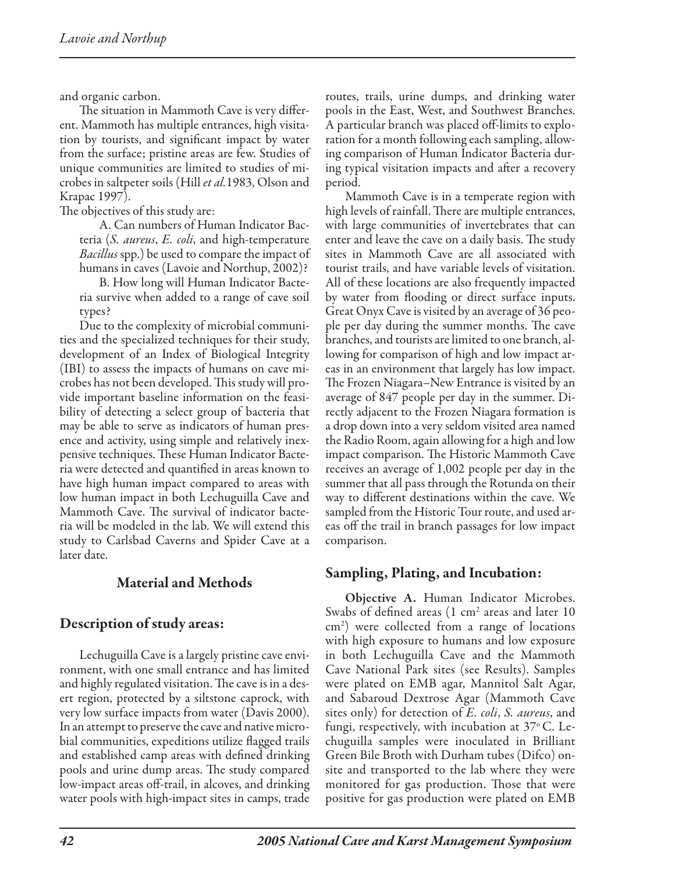and organic carbon.

The situation in Mammoth Cave is very different. Mammoth has multiple entrances, high visitation by tourists, and significant impact by water from the surface; pristine areas are few. Studies of unique communities are limited to studies of microbes in saltpeter soils (Hill *et al.*1983, Olson and Krapac 1997).

The objectives of this study are:

A. Can numbers of Human Indicator Bacteria (*S. aureus*, *E. coli*, and high-temperature *Bacillus* spp.) be used to compare the impact of humans in caves (Lavoie and Northup, 2002)?

B. How long will Human Indicator Bacteria survive when added to a range of cave soil types?

Due to the complexity of microbial communities and the specialized techniques for their study, development of an Index of Biological Integrity (IBI) to assess the impacts of humans on cave microbes has not been developed. This study will provide important baseline information on the feasibility of detecting a select group of bacteria that may be able to serve as indicators of human presence and activity, using simple and relatively inexpensive techniques. These Human Indicator Bacteria were detected and quantified in areas known to have high human impact compared to areas with low human impact in both Lechuguilla Cave and Mammoth Cave. The survival of indicator bacteria will be modeled in the lab. We will extend this study to Carlsbad Caverns and Spider Cave at a later date.

## Material and Methods

## Description of study areas:

Lechuguilla Cave is a largely pristine cave environment, with one small entrance and has limited and highly regulated visitation. The cave is in a desert region, protected by a siltstone caprock, with very low surface impacts from water (Davis 2000). In an attempt to preserve the cave and native microbial communities, expeditions utilize flagged trails and established camp areas with defined drinking pools and urine dump areas. The study compared low-impact areas off-trail, in alcoves, and drinking water pools with high-impact sites in camps, trade

routes, trails, urine dumps, and drinking water pools in the East, West, and Southwest Branches. A particular branch was placed off-limits to exploration for a month following each sampling, allowing comparison of Human Indicator Bacteria during typical visitation impacts and after a recovery period.

Mammoth Cave is in a temperate region with high levels of rainfall. There are multiple entrances, with large communities of invertebrates that can enter and leave the cave on a daily basis. The study sites in Mammoth Cave are all associated with tourist trails, and have variable levels of visitation. All of these locations are also frequently impacted by water from flooding or direct surface inputs. Great Onyx Cave is visited by an average of 36 people per day during the summer months. The cave branches, and tourists are limited to one branch, allowing for comparison of high and low impact areas in an environment that largely has low impact. The Frozen Niagara–New Entrance is visited by an average of 847 people per day in the summer. Directly adjacent to the Frozen Niagara formation is a drop down into a very seldom visited area named the Radio Room, again allowing for a high and low impact comparison. The Historic Mammoth Cave receives an average of 1,002 people per day in the summer that all pass through the Rotunda on their way to different destinations within the cave. We sampled from the Historic Tour route, and used areas off the trail in branch passages for low impact comparison.

### Sampling, Plating, and Incubation:

Objective A. Human Indicator Microbes. Swabs of defined areas  $(1 \text{ cm}^2 \text{ areas and later } 10)$ cm2 ) were collected from a range of locations with high exposure to humans and low exposure in both Lechuguilla Cave and the Mammoth Cave National Park sites (see Results). Samples were plated on EMB agar, Mannitol Salt Agar, and Sabaroud Dextrose Agar (Mammoth Cave sites only) for detection of *E. coli*, *S. aureus*, and fungi, respectively, with incubation at 37 $^{\rm o}$  C. Lechuguilla samples were inoculated in Brilliant Green Bile Broth with Durham tubes (Difco) onsite and transported to the lab where they were monitored for gas production. Those that were positive for gas production were plated on EMB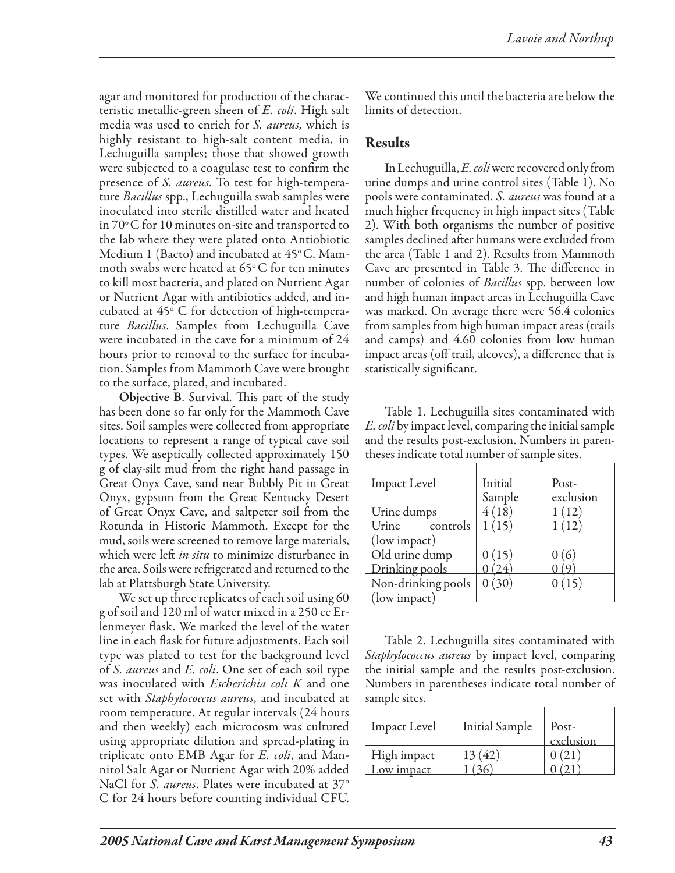agar and monitored for production of the characteristic metallic-green sheen of *E. coli*. High salt media was used to enrich for *S. aureus,* which is highly resistant to high-salt content media, in Lechuguilla samples; those that showed growth were subjected to a coagulase test to confirm the presence of *S. aureus*. To test for high-temperature *Bacillus* spp., Lechuguilla swab samples were inoculated into sterile distilled water and heated in  $70^{\circ}$ C for 10 minutes on-site and transported to the lab where they were plated onto Antiobiotic Medium 1 (Bacto) and incubated at  $45^{\circ}$ C. Mammoth swabs were heated at  $65^{\circ}$ C for ten minutes to kill most bacteria, and plated on Nutrient Agar or Nutrient Agar with antibiotics added, and incubated at  $45^{\circ}$  C for detection of high-temperature *Bacillus*. Samples from Lechuguilla Cave were incubated in the cave for a minimum of 24 hours prior to removal to the surface for incubation. Samples from Mammoth Cave were brought to the surface, plated, and incubated.

Objective B. Survival. This part of the study has been done so far only for the Mammoth Cave sites. Soil samples were collected from appropriate locations to represent a range of typical cave soil types. We aseptically collected approximately 150 g of clay-silt mud from the right hand passage in Great Onyx Cave, sand near Bubbly Pit in Great Onyx, gypsum from the Great Kentucky Desert of Great Onyx Cave, and saltpeter soil from the Rotunda in Historic Mammoth. Except for the mud, soils were screened to remove large materials, which were left *in situ* to minimize disturbance in the area. Soils were refrigerated and returned to the lab at Plattsburgh State University.

We set up three replicates of each soil using 60 g of soil and 120 ml of water mixed in a 250 cc Erlenmeyer flask. We marked the level of the water line in each flask for future adjustments. Each soil type was plated to test for the background level of *S. aureus* and *E. coli*. One set of each soil type was inoculated with *Escherichia coli K* and one set with *Staphylococcus aureus*, and incubated at room temperature. At regular intervals (24 hours and then weekly) each microcosm was cultured using appropriate dilution and spread-plating in triplicate onto EMB Agar for *E. coli*, and Mannitol Salt Agar or Nutrient Agar with 20% added NaCl for *S. aureus*. Plates were incubated at 37<sup>o</sup> C for 24 hours before counting individual CFU. We continued this until the bacteria are below the limits of detection.

### Results

In Lechuguilla, *E. coli* were recovered only from urine dumps and urine control sites (Table 1). No pools were contaminated. *S. aureus* was found at a much higher frequency in high impact sites (Table 2). With both organisms the number of positive samples declined after humans were excluded from the area (Table 1 and 2). Results from Mammoth Cave are presented in Table 3. The difference in number of colonies of *Bacillus* spp. between low and high human impact areas in Lechuguilla Cave was marked. On average there were 56.4 colonies from samples from high human impact areas (trails and camps) and 4.60 colonies from low human impact areas (off trail, alcoves), a difference that is statistically significant.

Table 1. Lechuguilla sites contaminated with *E. coli* by impact level, comparing the initial sample and the results post-exclusion. Numbers in parentheses indicate total number of sample sites.

| <b>Impact Level</b> | Initial<br>Sample | Post-<br>exclusion |  |
|---------------------|-------------------|--------------------|--|
| Urine dumps         | (18)              | (12)               |  |
| Urine controls      | 1(15)             | 1(12)              |  |
| (low impact)        |                   |                    |  |
| Old urine dump      | (15)              |                    |  |
| Drinking pools      | 24)               |                    |  |
| Non-drinking pools  | 0(30)             | 0(15)              |  |
| (low impact)        |                   |                    |  |

Table 2. Lechuguilla sites contaminated with *Staphylococcus aureus* by impact level, comparing the initial sample and the results post-exclusion. Numbers in parentheses indicate total number of sample sites.

| <b>Impact Level</b> | <b>Initial Sample</b> | Post-<br>exclusion |
|---------------------|-----------------------|--------------------|
| High impact         |                       |                    |
| ow impact           |                       |                    |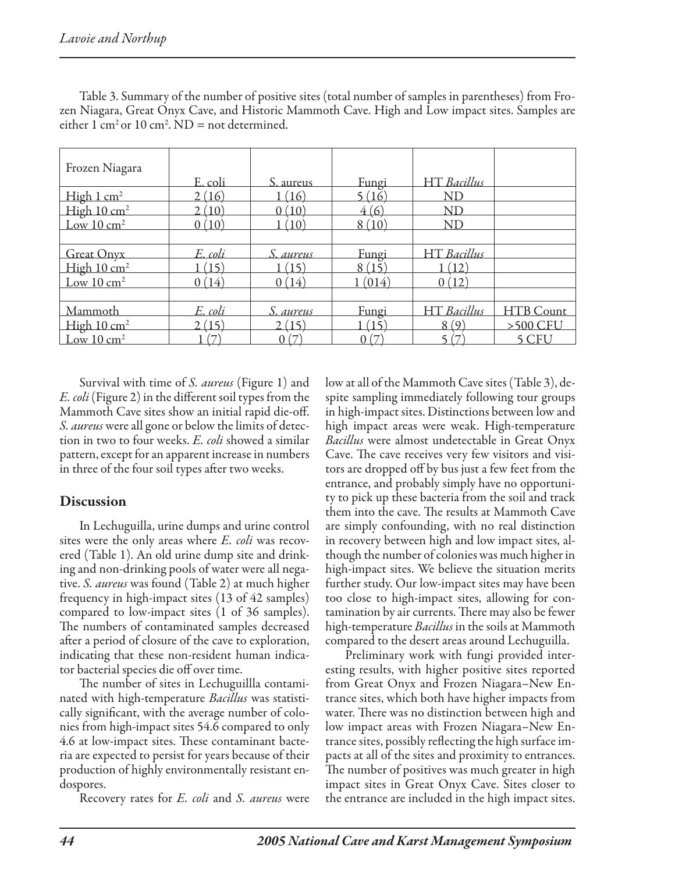| Frozen Niagara          | E. coli           | S. aureus    | Fungi           | <b>HT</b> Bacillus |                  |
|-------------------------|-------------------|--------------|-----------------|--------------------|------------------|
| High 1 cm <sup>2</sup>  | 2(16)             | (16)         | <u>5 (16)</u>   | ND                 |                  |
| High 10 cm <sup>2</sup> | 2(10)             | 0(10)        | 4(6)            | <b>ND</b>          |                  |
| Low $10 \text{ cm}^2$   | 0(10)             | $10^{\circ}$ | 8(10)           | <b>ND</b>          |                  |
|                         |                   |              |                 |                    |                  |
| <b>Great Onyx</b>       | E. coli           | S. aureus    | Fungi           | HT Bacillus        |                  |
| High 10 cm <sup>2</sup> | 15                | (15)         | 8(15)           | (12)               |                  |
| Low $10 \text{ cm}^2$   | 0(14)             | (14)         | (014)           | (12)               |                  |
|                         |                   |              |                 |                    |                  |
| Mammoth                 | E. coli           | S. aureus    | Fungi           | <b>HT</b> Bacillus | <b>HTB</b> Count |
| High $10 \text{ cm}^2$  | 2(15)             | 2(15)        | (15)            | 8(9)               | $>500$ CFU       |
| Low $10 \text{ cm}^2$   | $\overline{\tau}$ | 0(7)         | (7)<br>$\Omega$ |                    | 5 CFU            |

Table 3. Summary of the number of positive sites (total number of samples in parentheses) from Frozen Niagara, Great Onyx Cave, and Historic Mammoth Cave. High and Low impact sites. Samples are either  $1 \text{ cm}^2 \text{ or } 10 \text{ cm}^2$ . ND = not determined.

Survival with time of *S. aureus* (Figure 1) and *E. coli* (Figure 2) in the different soil types from the Mammoth Cave sites show an initial rapid die-off. *S. aureus* were all gone or below the limits of detection in two to four weeks. *E. coli* showed a similar pattern, except for an apparent increase in numbers in three of the four soil types after two weeks.

### **Discussion**

In Lechuguilla, urine dumps and urine control sites were the only areas where *E. coli* was recovered (Table 1). An old urine dump site and drinking and non-drinking pools of water were all negative. *S. aureus* was found (Table 2) at much higher frequency in high-impact sites (13 of 42 samples) compared to low-impact sites (1 of 36 samples). The numbers of contaminated samples decreased after a period of closure of the cave to exploration, indicating that these non-resident human indicator bacterial species die off over time.

The number of sites in Lechuguillla contaminated with high-temperature *Bacillus* was statistically significant, with the average number of colonies from high-impact sites 54.6 compared to only 4.6 at low-impact sites. These contaminant bacteria are expected to persist for years because of their production of highly environmentally resistant endospores.

Recovery rates for *E. coli* and *S. aureus* were

low at all of the Mammoth Cave sites (Table 3), despite sampling immediately following tour groups in high-impact sites. Distinctions between low and high impact areas were weak. High-temperature *Bacillus* were almost undetectable in Great Onyx Cave. The cave receives very few visitors and visitors are dropped off by bus just a few feet from the entrance, and probably simply have no opportunity to pick up these bacteria from the soil and track them into the cave. The results at Mammoth Cave are simply confounding, with no real distinction in recovery between high and low impact sites, although the number of colonies was much higher in high-impact sites. We believe the situation merits further study. Our low-impact sites may have been too close to high-impact sites, allowing for contamination by air currents. There may also be fewer high-temperature *Bacillus* in the soils at Mammoth compared to the desert areas around Lechuguilla.

Preliminary work with fungi provided interesting results, with higher positive sites reported from Great Onyx and Frozen Niagara–New Entrance sites, which both have higher impacts from water. There was no distinction between high and low impact areas with Frozen Niagara–New Entrance sites, possibly reflecting the high surface impacts at all of the sites and proximity to entrances. The number of positives was much greater in high impact sites in Great Onyx Cave. Sites closer to the entrance are included in the high impact sites.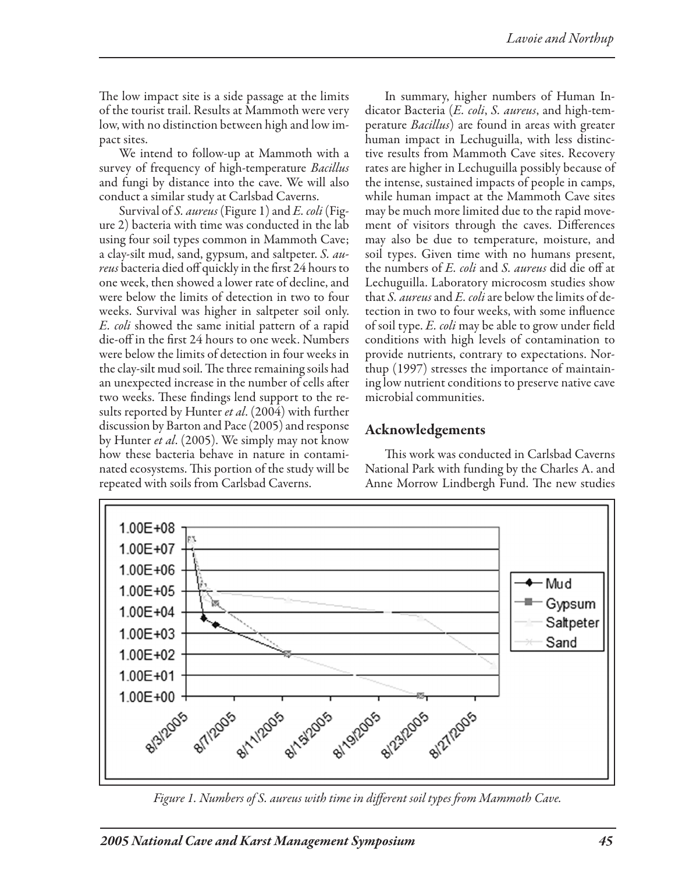The low impact site is a side passage at the limits of the tourist trail. Results at Mammoth were very low, with no distinction between high and low impact sites.

We intend to follow-up at Mammoth with a survey of frequency of high-temperature *Bacillus* and fungi by distance into the cave. We will also conduct a similar study at Carlsbad Caverns.

Survival of *S. aureus* (Figure 1) and *E. coli* (Figure 2) bacteria with time was conducted in the lab using four soil types common in Mammoth Cave; a clay-silt mud, sand, gypsum, and saltpeter. *S. aureus* bacteria died off quickly in the first 24 hours to one week, then showed a lower rate of decline, and were below the limits of detection in two to four weeks. Survival was higher in saltpeter soil only. *E. coli* showed the same initial pattern of a rapid die-off in the first 24 hours to one week. Numbers were below the limits of detection in four weeks in the clay-silt mud soil. The three remaining soils had an unexpected increase in the number of cells after two weeks. These findings lend support to the results reported by Hunter *et al*. (2004) with further discussion by Barton and Pace (2005) and response by Hunter *et al*. (2005). We simply may not know how these bacteria behave in nature in contaminated ecosystems. This portion of the study will be repeated with soils from Carlsbad Caverns.

In summary, higher numbers of Human Indicator Bacteria (*E. coli*, *S. aureus*, and high-temperature *Bacillus*) are found in areas with greater human impact in Lechuguilla, with less distinctive results from Mammoth Cave sites. Recovery rates are higher in Lechuguilla possibly because of the intense, sustained impacts of people in camps, while human impact at the Mammoth Cave sites may be much more limited due to the rapid movement of visitors through the caves. Differences may also be due to temperature, moisture, and soil types. Given time with no humans present, the numbers of *E. coli* and *S. aureus* did die off at Lechuguilla. Laboratory microcosm studies show that *S. aureus* and *E. coli* are below the limits of detection in two to four weeks, with some influence of soil type. *E. coli* may be able to grow under field conditions with high levels of contamination to provide nutrients, contrary to expectations. Northup (1997) stresses the importance of maintaining low nutrient conditions to preserve native cave microbial communities.

# Acknowledgements

This work was conducted in Carlsbad Caverns National Park with funding by the Charles A. and Anne Morrow Lindbergh Fund. The new studies



*Figure 1. Numbers of S. aureus with time in different soil types from Mammoth Cave.*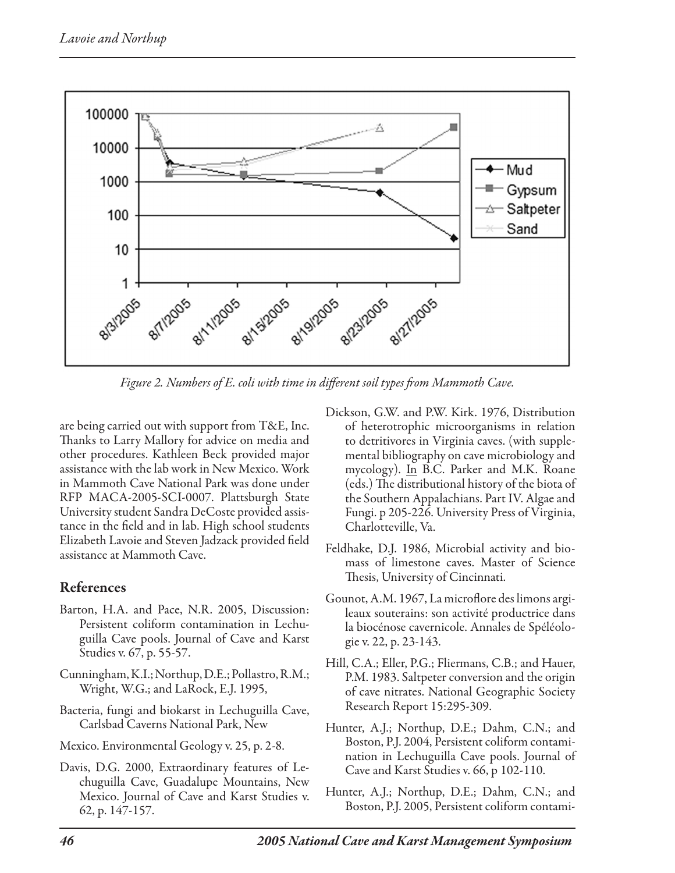

*Figure 2. Numbers of E. coli with time in different soil types from Mammoth Cave.*

are being carried out with support from T&E, Inc. Thanks to Larry Mallory for advice on media and other procedures. Kathleen Beck provided major assistance with the lab work in New Mexico. Work in Mammoth Cave National Park was done under RFP MACA-2005-SCI-0007. Plattsburgh State University student Sandra DeCoste provided assistance in the field and in lab. High school students Elizabeth Lavoie and Steven Jadzack provided field assistance at Mammoth Cave.

## References

- Barton, H.A. and Pace, N.R. 2005, Discussion: Persistent coliform contamination in Lechuguilla Cave pools. Journal of Cave and Karst Studies v. 67, p. 55-57.
- Cunningham, K.I.; Northup, D.E.; Pollastro, R.M.; Wright, W.G.; and LaRock, E.J. 1995,
- Bacteria, fungi and biokarst in Lechuguilla Cave, Carlsbad Caverns National Park, New
- Mexico. Environmental Geology v. 25, p. 2-8.
- Davis, D.G. 2000, Extraordinary features of Lechuguilla Cave, Guadalupe Mountains, New Mexico. Journal of Cave and Karst Studies v. 62, p. 147-157.
- Dickson, G.W. and P.W. Kirk. 1976, Distribution of heterotrophic microorganisms in relation to detritivores in Virginia caves. (with supplemental bibliography on cave microbiology and mycology). In B.C. Parker and M.K. Roane (eds.) The distributional history of the biota of the Southern Appalachians. Part IV. Algae and Fungi. p 205-226. University Press of Virginia, Charlotteville, Va.
- Feldhake, D.J. 1986, Microbial activity and biomass of limestone caves. Master of Science Thesis, University of Cincinnati.
- Gounot, A.M. 1967, La microflore des limons argileaux souterains: son activité productrice dans la biocénose cavernicole. Annales de Spéléologie v. 22, p. 23-143.
- Hill, C.A.; Eller, P.G.; Fliermans, C.B.; and Hauer, P.M. 1983. Saltpeter conversion and the origin of cave nitrates. National Geographic Society Research Report 15:295-309.
- Hunter, A.J.; Northup, D.E.; Dahm, C.N.; and Boston, P.J. 2004, Persistent coliform contamination in Lechuguilla Cave pools. Journal of Cave and Karst Studies v. 66, p 102-110.
- Hunter, A.J.; Northup, D.E.; Dahm, C.N.; and Boston, P.J. 2005, Persistent coliform contami-